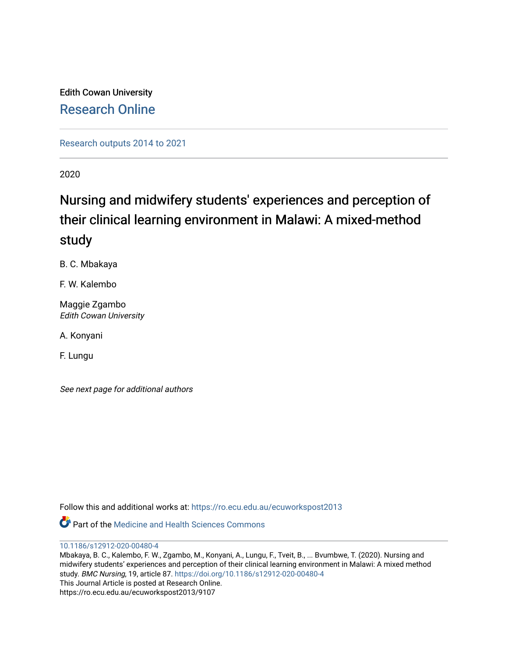Edith Cowan University [Research Online](https://ro.ecu.edu.au/) 

[Research outputs 2014 to 2021](https://ro.ecu.edu.au/ecuworkspost2013) 

2020

# Nursing and midwifery students' experiences and perception of their clinical learning environment in Malawi: A mixed-method study

B. C. Mbakaya

F. W. Kalembo

Maggie Zgambo Edith Cowan University

A. Konyani

F. Lungu

See next page for additional authors

Follow this and additional works at: [https://ro.ecu.edu.au/ecuworkspost2013](https://ro.ecu.edu.au/ecuworkspost2013?utm_source=ro.ecu.edu.au%2Fecuworkspost2013%2F9107&utm_medium=PDF&utm_campaign=PDFCoverPages) 

**P** Part of the Medicine and Health Sciences Commons

[10.1186/s12912-020-00480-4](http://dx.doi.org/10.1186/s12912-020-00480-4)

Mbakaya, B. C., Kalembo, F. W., Zgambo, M., Konyani, A., Lungu, F., Tveit, B., ... Bvumbwe, T. (2020). Nursing and midwifery students' experiences and perception of their clinical learning environment in Malawi: A mixed method study. BMC Nursing, 19, article 87. <https://doi.org/10.1186/s12912-020-00480-4> This Journal Article is posted at Research Online. https://ro.ecu.edu.au/ecuworkspost2013/9107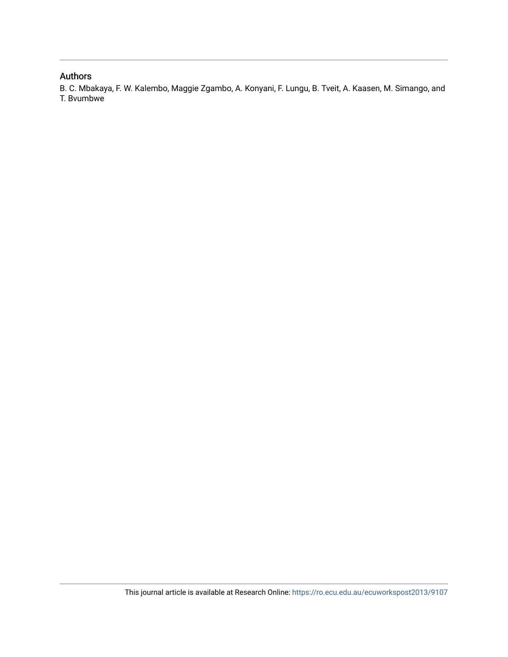# Authors

B. C. Mbakaya, F. W. Kalembo, Maggie Zgambo, A. Konyani, F. Lungu, B. Tveit, A. Kaasen, M. Simango, and T. Bvumbwe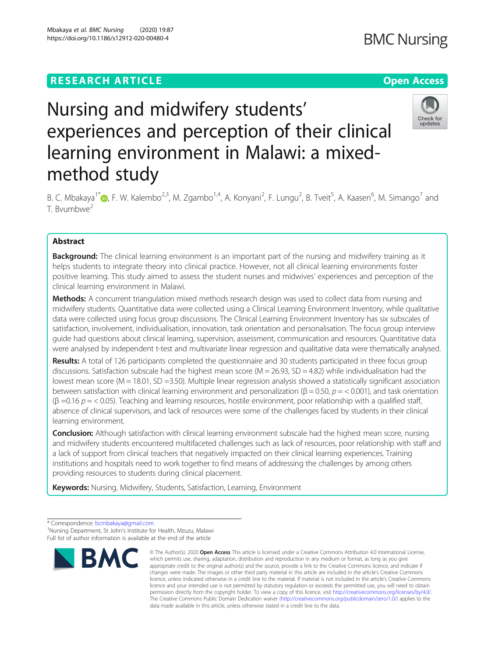Mbakaya et al. BMC Nursing (2020) 19:87 https://doi.org/10.1186/s12912-020-00480-4

# Nursing and midwifery students' experiences and perception of their clinical learning environment in Malawi: a mixedmethod study



B. C. Mbakaya<sup>1\*</sup>�[,](http://orcid.org/0000-0002-4705-9064) F. W. Kalembo<sup>2,3</sup>, M. Zgambo<sup>1,4</sup>, A. Konyani<sup>2</sup>, F. Lungu<sup>2</sup>, B. Tveit<sup>5</sup>, A. Kaasen<sup>6</sup>, M. Simango<sup>7</sup> and T. Byumbwe<sup>2</sup>

# Abstract

**Background:** The clinical learning environment is an important part of the nursing and midwifery training as it helps students to integrate theory into clinical practice. However, not all clinical learning environments foster positive learning. This study aimed to assess the student nurses and midwives' experiences and perception of the clinical learning environment in Malawi.

Methods: A concurrent triangulation mixed methods research design was used to collect data from nursing and midwifery students. Quantitative data were collected using a Clinical Learning Environment Inventory, while qualitative data were collected using focus group discussions. The Clinical Learning Environment Inventory has six subscales of satisfaction, involvement, individualisation, innovation, task orientation and personalisation. The focus group interview guide had questions about clinical learning, supervision, assessment, communication and resources. Quantitative data were analysed by independent t-test and multivariate linear regression and qualitative data were thematically analysed.

Results: A total of 126 participants completed the questionnaire and 30 students participated in three focus group discussions. Satisfaction subscale had the highest mean score ( $M = 26.93$ ,  $SD = 4.82$ ) while individualisation had the lowest mean score ( $M = 18.01$ , SD = 3.50). Multiple linear regression analysis showed a statistically significant association between satisfaction with clinical learning environment and personalization ( $\beta$  = 0.50,  $p$  = < 0.001), and task orientation  $(β =0.16 p = 0.05)$ . Teaching and learning resources, hostile environment, poor relationship with a qualified staff, absence of clinical supervisors, and lack of resources were some of the challenges faced by students in their clinical learning environment.

**Conclusion:** Although satisfaction with clinical learning environment subscale had the highest mean score, nursing and midwifery students encountered multifaceted challenges such as lack of resources, poor relationship with staff and a lack of support from clinical teachers that negatively impacted on their clinical learning experiences. Training institutions and hospitals need to work together to find means of addressing the challenges by among others providing resources to students during clinical placement.

**Keywords:** Nursing, Midwifery, Students, Satisfaction, Learning, Environment

<sup>&</sup>lt;sup>1</sup>Nursing Department, St John's Institute for Health, Mzuzu, Malawi Full list of author information is available at the end of the article



<sup>©</sup> The Author(s), 2020 **Open Access** This article is licensed under a Creative Commons Attribution 4.0 International License, which permits use, sharing, adaptation, distribution and reproduction in any medium or format, as long as you give appropriate credit to the original author(s) and the source, provide a link to the Creative Commons licence, and indicate if changes were made. The images or other third party material in this article are included in the article's Creative Commons licence, unless indicated otherwise in a credit line to the material. If material is not included in the article's Creative Commons licence and your intended use is not permitted by statutory regulation or exceeds the permitted use, you will need to obtain permission directly from the copyright holder. To view a copy of this licence, visit [http://creativecommons.org/licenses/by/4.0/.](http://creativecommons.org/licenses/by/4.0/) The Creative Commons Public Domain Dedication waiver [\(http://creativecommons.org/publicdomain/zero/1.0/](http://creativecommons.org/publicdomain/zero/1.0/)) applies to the data made available in this article, unless otherwise stated in a credit line to the data.

<sup>\*</sup> Correspondence: [bcmbakaya@gmail.com](mailto:bcmbakaya@gmail.com) <sup>1</sup>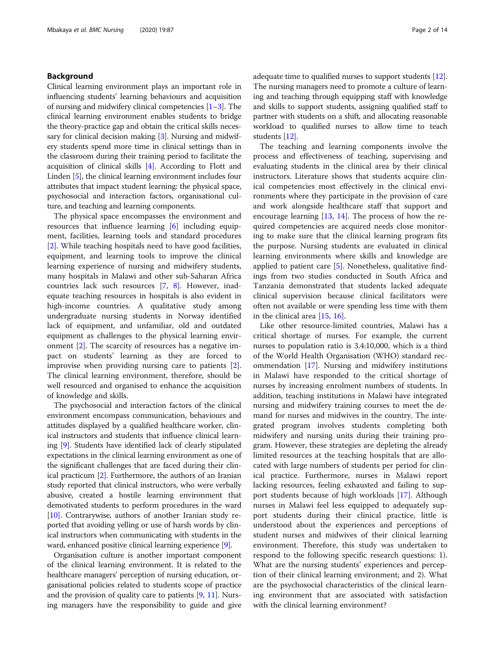# Background

Clinical learning environment plays an important role in influencing students' learning behaviours and acquisition of nursing and midwifery clinical competencies  $[1-3]$  $[1-3]$  $[1-3]$ . The clinical learning environment enables students to bridge the theory-practice gap and obtain the critical skills neces-sary for clinical decision making [\[3\]](#page-14-0). Nursing and midwifery students spend more time in clinical settings than in the classroom during their training period to facilitate the acquisition of clinical skills [\[4\]](#page-14-0). According to Flott and Linden [\[5](#page-14-0)], the clinical learning environment includes four attributes that impact student learning: the physical space, psychosocial and interaction factors, organisational culture, and teaching and learning components.

The physical space encompasses the environment and resources that influence learning [[6\]](#page-14-0) including equipment, facilities, learning tools and standard procedures [[2\]](#page-14-0). While teaching hospitals need to have good facilities, equipment, and learning tools to improve the clinical learning experience of nursing and midwifery students, many hospitals in Malawi and other sub-Saharan Africa countries lack such resources [\[7](#page-14-0), [8](#page-14-0)]. However, inadequate teaching resources in hospitals is also evident in high-income countries. A qualitative study among undergraduate nursing students in Norway identified lack of equipment, and unfamiliar, old and outdated equipment as challenges to the physical learning environment [[2\]](#page-14-0). The scarcity of resources has a negative impact on students' learning as they are forced to improvise when providing nursing care to patients [\[2](#page-14-0)]. The clinical learning environment, therefore, should be well resourced and organised to enhance the acquisition of knowledge and skills.

The psychosocial and interaction factors of the clinical environment encompass communication, behaviours and attitudes displayed by a qualified healthcare worker, clinical instructors and students that influence clinical learning [[9\]](#page-14-0). Students have identified lack of clearly stipulated expectations in the clinical learning environment as one of the significant challenges that are faced during their clinical practicum [\[2\]](#page-14-0). Furthermore, the authors of an Iranian study reported that clinical instructors, who were verbally abusive, created a hostile learning environment that demotivated students to perform procedures in the ward [[10](#page-14-0)]. Contrarywise, authors of another Iranian study reported that avoiding yelling or use of harsh words by clinical instructors when communicating with students in the ward, enhanced positive clinical learning experience [[9](#page-14-0)].

Organisation culture is another important component of the clinical learning environment. It is related to the healthcare managers' perception of nursing education, organisational policies related to students scope of practice and the provision of quality care to patients [\[9](#page-14-0), [11\]](#page-14-0). Nursing managers have the responsibility to guide and give adequate time to qualified nurses to support students [[12](#page-14-0)]. The nursing managers need to promote a culture of learning and teaching through equipping staff with knowledge and skills to support students, assigning qualified staff to partner with students on a shift, and allocating reasonable workload to qualified nurses to allow time to teach students [\[12\]](#page-14-0).

The teaching and learning components involve the process and effectiveness of teaching, supervising and evaluating students in the clinical area by their clinical instructors. Literature shows that students acquire clinical competencies most effectively in the clinical environments where they participate in the provision of care and work alongside healthcare staff that support and encourage learning  $[13, 14]$  $[13, 14]$  $[13, 14]$  $[13, 14]$  $[13, 14]$ . The process of how the required competencies are acquired needs close monitoring to make sure that the clinical learning program fits the purpose. Nursing students are evaluated in clinical learning environments where skills and knowledge are applied to patient care [\[5](#page-14-0)]. Nonetheless, qualitative findings from two studies conducted in South Africa and Tanzania demonstrated that students lacked adequate clinical supervision because clinical facilitators were often not available or were spending less time with them in the clinical area [\[15](#page-14-0), [16\]](#page-14-0).

Like other resource-limited countries, Malawi has a critical shortage of nurses. For example, the current nurses to population ratio is 3.4:10,000, which is a third of the World Health Organisation (WHO) standard recommendation [[17\]](#page-14-0). Nursing and midwifery institutions in Malawi have responded to the critical shortage of nurses by increasing enrolment numbers of students. In addition, teaching institutions in Malawi have integrated nursing and midwifery training courses to meet the demand for nurses and midwives in the country. The integrated program involves students completing both midwifery and nursing units during their training program. However, these strategies are depleting the already limited resources at the teaching hospitals that are allocated with large numbers of students per period for clinical practice. Furthermore, nurses in Malawi report lacking resources, feeling exhausted and failing to support students because of high workloads [\[17](#page-14-0)]. Although nurses in Malawi feel less equipped to adequately support students during their clinical practice, little is understood about the experiences and perceptions of student nurses and midwives of their clinical learning environment. Therefore, this study was undertaken to respond to the following specific research questions: 1). What are the nursing students' experiences and perception of their clinical learning environment; and 2). What are the psychosocial characteristics of the clinical learning environment that are associated with satisfaction with the clinical learning environment?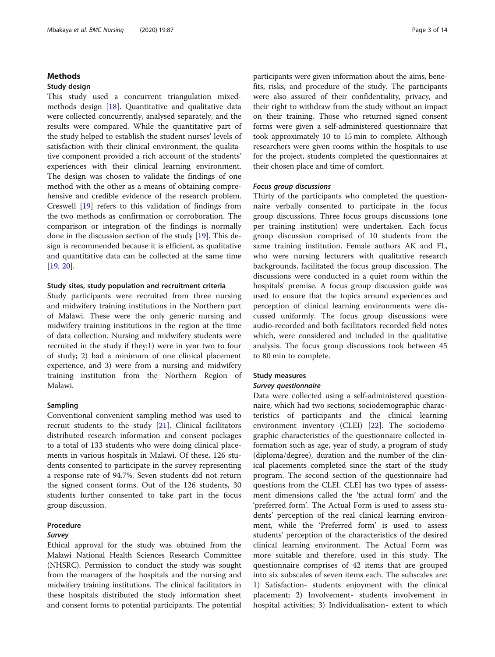# Methods

# Study design

This study used a concurrent triangulation mixedmethods design [[18\]](#page-14-0). Quantitative and qualitative data were collected concurrently, analysed separately, and the results were compared. While the quantitative part of the study helped to establish the student nurses' levels of satisfaction with their clinical environment, the qualitative component provided a rich account of the students' experiences with their clinical learning environment. The design was chosen to validate the findings of one method with the other as a means of obtaining comprehensive and credible evidence of the research problem. Creswell [\[19](#page-14-0)] refers to this validation of findings from the two methods as confirmation or corroboration. The comparison or integration of the findings is normally done in the discussion section of the study [\[19\]](#page-14-0). This design is recommended because it is efficient, as qualitative and quantitative data can be collected at the same time [[19,](#page-14-0) [20\]](#page-14-0).

# Study sites, study population and recruitment criteria

Study participants were recruited from three nursing and midwifery training institutions in the Northern part of Malawi. These were the only generic nursing and midwifery training institutions in the region at the time of data collection. Nursing and midwifery students were recruited in the study if they:1) were in year two to four of study; 2) had a minimum of one clinical placement experience, and 3) were from a nursing and midwifery training institution from the Northern Region of Malawi.

# Sampling

Conventional convenient sampling method was used to recruit students to the study [\[21\]](#page-14-0). Clinical facilitators distributed research information and consent packages to a total of 133 students who were doing clinical placements in various hospitals in Malawi. Of these, 126 students consented to participate in the survey representing a response rate of 94.7%. Seven students did not return the signed consent forms. Out of the 126 students, 30 students further consented to take part in the focus group discussion.

# Procedure

#### Survey

Ethical approval for the study was obtained from the Malawi National Health Sciences Research Committee (NHSRC). Permission to conduct the study was sought from the managers of the hospitals and the nursing and midwifery training institutions. The clinical facilitators in these hospitals distributed the study information sheet and consent forms to potential participants. The potential participants were given information about the aims, benefits, risks, and procedure of the study. The participants were also assured of their confidentiality, privacy, and their right to withdraw from the study without an impact on their training. Those who returned signed consent forms were given a self-administered questionnaire that took approximately 10 to 15 min to complete. Although researchers were given rooms within the hospitals to use for the project, students completed the questionnaires at their chosen place and time of comfort.

# Focus group discussions

Thirty of the participants who completed the questionnaire verbally consented to participate in the focus group discussions. Three focus groups discussions (one per training institution) were undertaken. Each focus group discussion comprised of 10 students from the same training institution. Female authors AK and FL, who were nursing lecturers with qualitative research backgrounds, facilitated the focus group discussion. The discussions were conducted in a quiet room within the hospitals' premise. A focus group discussion guide was used to ensure that the topics around experiences and perception of clinical learning environments were discussed uniformly. The focus group discussions were audio-recorded and both facilitators recorded field notes which, were considered and included in the qualitative analysis. The focus group discussions took between 45 to 80 min to complete.

# Study measures

### Survey questionnaire

Data were collected using a self-administered questionnaire, which had two sections; sociodemographic characteristics of participants and the clinical learning environment inventory (CLEI) [\[22](#page-14-0)]. The sociodemographic characteristics of the questionnaire collected information such as age, year of study, a program of study (diploma/degree), duration and the number of the clinical placements completed since the start of the study program. The second section of the questionnaire had questions from the CLEI. CLEI has two types of assessment dimensions called the 'the actual form' and the 'preferred form'. The Actual Form is used to assess students' perception of the real clinical learning environment, while the 'Preferred form' is used to assess students' perception of the characteristics of the desired clinical learning environment. The Actual Form was more suitable and therefore, used in this study. The questionnaire comprises of 42 items that are grouped into six subscales of seven items each. The subscales are: 1) Satisfaction- students enjoyment with the clinical placement; 2) Involvement- students involvement in hospital activities; 3) Individualisation- extent to which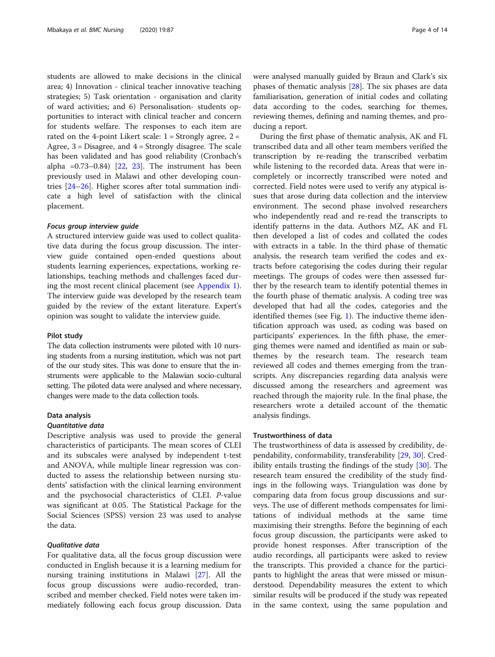students are allowed to make decisions in the clinical area; 4) Innovation - clinical teacher innovative teaching strategies; 5) Task orientation - organisation and clarity of ward activities; and 6) Personalisation- students opportunities to interact with clinical teacher and concern for students welfare. The responses to each item are rated on the 4-point Likert scale:  $1 =$  Strongly agree,  $2 =$ Agree,  $3 = Disagree$ , and  $4 = Strongly$  disagree. The scale has been validated and has good reliability (Cronbach's alpha = $0.73-0.84$ ) [\[22](#page-14-0), [23\]](#page-14-0). The instrument has been previously used in Malawi and other developing countries [\[24](#page-14-0)–[26\]](#page-14-0). Higher scores after total summation indicate a high level of satisfaction with the clinical placement.

#### Focus group interview guide

A structured interview guide was used to collect qualitative data during the focus group discussion. The interview guide contained open-ended questions about students learning experiences, expectations, working relationships, teaching methods and challenges faced during the most recent clinical placement (see [Appendix 1](#page-12-0)). The interview guide was developed by the research team guided by the review of the extant literature. Expert's opinion was sought to validate the interview guide.

#### Pilot study

The data collection instruments were piloted with 10 nursing students from a nursing institution, which was not part of the our study sites. This was done to ensure that the instruments were applicable to the Malawian socio-cultural setting. The piloted data were analysed and where necessary, changes were made to the data collection tools.

#### Data analysis

# Quantitative data

Descriptive analysis was used to provide the general characteristics of participants. The mean scores of CLEI and its subscales were analysed by independent t-test and ANOVA, while multiple linear regression was conducted to assess the relationship between nursing students' satisfaction with the clinical learning environment and the psychosocial characteristics of CLEI. P-value was significant at 0.05. The Statistical Package for the Social Sciences (SPSS) version 23 was used to analyse the data.

# Qualitative data

For qualitative data, all the focus group discussion were conducted in English because it is a learning medium for nursing training institutions in Malawi [[27\]](#page-14-0). All the focus group discussions were audio-recorded, transcribed and member checked. Field notes were taken immediately following each focus group discussion. Data were analysed manually guided by Braun and Clark's six phases of thematic analysis [[28\]](#page-14-0). The six phases are data familiarisation, generation of initial codes and collating data according to the codes, searching for themes, reviewing themes, defining and naming themes, and producing a report.

During the first phase of thematic analysis, AK and FL transcribed data and all other team members verified the transcription by re-reading the transcribed verbatim while listening to the recorded data. Areas that were incompletely or incorrectly transcribed were noted and corrected. Field notes were used to verify any atypical issues that arose during data collection and the interview environment. The second phase involved researchers who independently read and re-read the transcripts to identify patterns in the data. Authors MZ, AK and FL then developed a list of codes and collated the codes with extracts in a table. In the third phase of thematic analysis, the research team verified the codes and extracts before categorising the codes during their regular meetings. The groups of codes were then assessed further by the research team to identify potential themes in the fourth phase of thematic analysis. A coding tree was developed that had all the codes, categories and the identified themes (see Fig. [1](#page-6-0)). The inductive theme identification approach was used, as coding was based on participants' experiences. In the fifth phase, the emerging themes were named and identified as main or subthemes by the research team. The research team reviewed all codes and themes emerging from the transcripts. Any discrepancies regarding data analysis were discussed among the researchers and agreement was reached through the majority rule. In the final phase, the researchers wrote a detailed account of the thematic analysis findings.

#### Trustworthiness of data

The trustworthiness of data is assessed by credibility, dependability, conformability, transferability [[29,](#page-14-0) [30\]](#page-14-0). Credibility entails trusting the findings of the study [[30\]](#page-14-0). The research team ensured the credibility of the study findings in the following ways. Triangulation was done by comparing data from focus group discussions and surveys. The use of different methods compensates for limitations of individual methods at the same time maximising their strengths. Before the beginning of each focus group discussion, the participants were asked to provide honest responses. After transcription of the audio recordings, all participants were asked to review the transcripts. This provided a chance for the participants to highlight the areas that were missed or misunderstood. Dependability measures the extent to which similar results will be produced if the study was repeated in the same context, using the same population and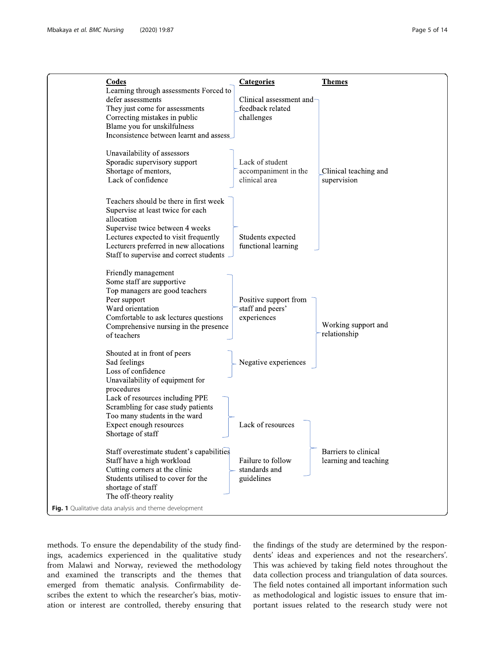<span id="page-6-0"></span>

| <b>Codes</b><br>Learning through assessments Forced to          | <b>Categories</b>       | <b>Themes</b>         |
|-----------------------------------------------------------------|-------------------------|-----------------------|
| defer assessments                                               | Clinical assessment and |                       |
|                                                                 | feedback related        |                       |
| They just come for assessments<br>Correcting mistakes in public | challenges              |                       |
| Blame you for unskilfulness                                     |                         |                       |
| Inconsistence between learnt and assess_                        |                         |                       |
|                                                                 |                         |                       |
| Unavailability of assessors                                     |                         |                       |
| Sporadic supervisory support                                    | Lack of student         |                       |
| Shortage of mentors,                                            | accompaniment in the    | Clinical teaching and |
| Lack of confidence                                              | clinical area           | supervision           |
|                                                                 |                         |                       |
| Teachers should be there in first week                          |                         |                       |
| Supervise at least twice for each                               |                         |                       |
| allocation                                                      |                         |                       |
| Supervise twice between 4 weeks                                 |                         |                       |
| Lectures expected to visit frequently                           | Students expected       |                       |
| Lecturers preferred in new allocations                          | functional learning     |                       |
| Staff to supervise and correct students -                       |                         |                       |
|                                                                 |                         |                       |
| Friendly management                                             |                         |                       |
| Some staff are supportive                                       |                         |                       |
| Top managers are good teachers                                  |                         |                       |
| Peer support                                                    | Positive support from   |                       |
| Ward orientation                                                | staff and peers'        |                       |
| Comfortable to ask lectures questions                           | experiences             |                       |
| Comprehensive nursing in the presence                           |                         | Working support and   |
| of teachers                                                     |                         | relationship          |
|                                                                 |                         |                       |
| Shouted at in front of peers                                    |                         |                       |
| Sad feelings                                                    | Negative experiences    |                       |
| Loss of confidence                                              |                         |                       |
| Unavailability of equipment for                                 |                         |                       |
| procedures                                                      |                         |                       |
| Lack of resources including PPE                                 |                         |                       |
| Scrambling for case study patients                              |                         |                       |
| Too many students in the ward                                   |                         |                       |
| Expect enough resources                                         | Lack of resources       |                       |
| Shortage of staff                                               |                         |                       |
| Staff overestimate student's capabilities                       |                         | Barriers to clinical  |
| Staff have a high workload                                      | Failure to follow       | learning and teaching |
| Cutting corners at the clinic                                   | standards and           |                       |
| Students utilised to cover for the                              | guidelines              |                       |
| shortage of staff                                               |                         |                       |
| The off-theory reality                                          |                         |                       |
|                                                                 |                         |                       |
| Fig. 1 Qualitative data analysis and theme development          |                         |                       |

methods. To ensure the dependability of the study findings, academics experienced in the qualitative study from Malawi and Norway, reviewed the methodology and examined the transcripts and the themes that emerged from thematic analysis. Confirmability describes the extent to which the researcher's bias, motivation or interest are controlled, thereby ensuring that the findings of the study are determined by the respondents' ideas and experiences and not the researchers'. This was achieved by taking field notes throughout the data collection process and triangulation of data sources. The field notes contained all important information such as methodological and logistic issues to ensure that important issues related to the research study were not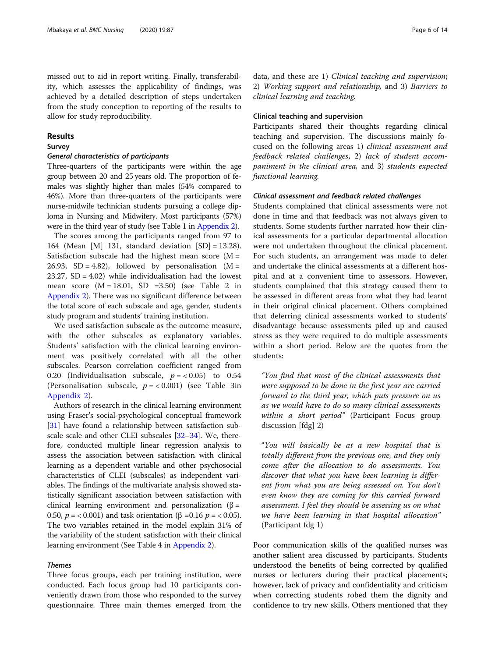missed out to aid in report writing. Finally, transferability, which assesses the applicability of findings, was achieved by a detailed description of steps undertaken from the study conception to reporting of the results to allow for study reproducibility.

# Results

# Survey

# General characteristics of participants

Three-quarters of the participants were within the age group between 20 and 25 years old. The proportion of females was slightly higher than males (54% compared to 46%). More than three-quarters of the participants were nurse-midwife technician students pursuing a college diploma in Nursing and Midwifery. Most participants (57%) were in the third year of study (see Table 1 in [Appendix 2\)](#page-12-0).

The scores among the participants ranged from 97 to 164 (Mean [M] 131, standard deviation [SD] = 13.28). Satisfaction subscale had the highest mean score  $(M =$ 26.93,  $SD = 4.82$ ), followed by personalisation (M = 23.27, SD = 4.02) while individualisation had the lowest mean score  $(M = 18.01, SD = 3.50)$  (see Table 2 in [Appendix 2\)](#page-12-0). There was no significant difference between the total score of each subscale and age, gender, students study program and students' training institution.

We used satisfaction subscale as the outcome measure, with the other subscales as explanatory variables. Students' satisfaction with the clinical learning environment was positively correlated with all the other subscales. Pearson correlation coefficient ranged from 0.20 (Individualisation subscale,  $p = < 0.05$ ) to 0.54 (Personalisation subscale,  $p = < 0.001$ ) (see Table 3in [Appendix 2](#page-12-0)).

Authors of research in the clinical learning environment using Fraser's social-psychological conceptual framework [[31](#page-15-0)] have found a relationship between satisfaction subscale scale and other CLEI subscales [[32](#page-15-0)–[34\]](#page-15-0). We, therefore, conducted multiple linear regression analysis to assess the association between satisfaction with clinical learning as a dependent variable and other psychosocial characteristics of CLEI (subscales) as independent variables. The findings of the multivariate analysis showed statistically significant association between satisfaction with clinical learning environment and personalization (β = 0.50,  $p = < 0.001$ ) and task orientation (β = 0.16  $p = < 0.05$ ). The two variables retained in the model explain 31% of the variability of the student satisfaction with their clinical learning environment (See Table 4 in [Appendix 2\)](#page-12-0).

# Themes

Three focus groups, each per training institution, were conducted. Each focus group had 10 participants conveniently drawn from those who responded to the survey questionnaire. Three main themes emerged from the

data, and these are 1) Clinical teaching and supervision; 2) Working support and relationship, and 3) Barriers to clinical learning and teaching.

# Clinical teaching and supervision

Participants shared their thoughts regarding clinical teaching and supervision. The discussions mainly focused on the following areas 1) clinical assessment and feedback related challenges, 2) lack of student accompaniment in the clinical area, and 3) students expected functional learning.

# Clinical assessment and feedback related challenges

Students complained that clinical assessments were not done in time and that feedback was not always given to students. Some students further narrated how their clinical assessments for a particular departmental allocation were not undertaken throughout the clinical placement. For such students, an arrangement was made to defer and undertake the clinical assessments at a different hospital and at a convenient time to assessors. However, students complained that this strategy caused them to be assessed in different areas from what they had learnt in their original clinical placement. Others complained that deferring clinical assessments worked to students' disadvantage because assessments piled up and caused stress as they were required to do multiple assessments within a short period. Below are the quotes from the students:

"You find that most of the clinical assessments that were supposed to be done in the first year are carried forward to the third year, which puts pressure on us as we would have to do so many clinical assessments within a short period" (Participant Focus group discussion [fdg] 2)

"You will basically be at a new hospital that is totally different from the previous one, and they only come after the allocation to do assessments. You discover that what you have been learning is different from what you are being assessed on. You don't even know they are coming for this carried forward assessment. I feel they should be assessing us on what we have been learning in that hospital allocation" (Participant fdg 1)

Poor communication skills of the qualified nurses was another salient area discussed by participants. Students understood the benefits of being corrected by qualified nurses or lecturers during their practical placements; however, lack of privacy and confidentiality and criticism when correcting students robed them the dignity and confidence to try new skills. Others mentioned that they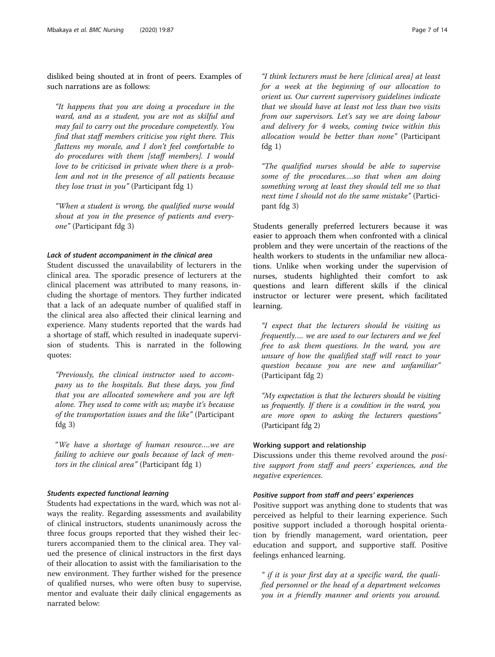disliked being shouted at in front of peers. Examples of such narrations are as follows:

"It happens that you are doing a procedure in the ward, and as a student, you are not as skilful and may fail to carry out the procedure competently. You find that staff members criticise you right there. This flattens my morale, and I don't feel comfortable to do procedures with them [staff members]. I would love to be criticised in private when there is a problem and not in the presence of all patients because they lose trust in you" (Participant fdg  $1$ )

"When a student is wrong, the qualified nurse would shout at you in the presence of patients and everyone" (Participant fdg 3)

#### Lack of student accompaniment in the clinical area

Student discussed the unavailability of lecturers in the clinical area. The sporadic presence of lecturers at the clinical placement was attributed to many reasons, including the shortage of mentors. They further indicated that a lack of an adequate number of qualified staff in the clinical area also affected their clinical learning and experience. Many students reported that the wards had a shortage of staff, which resulted in inadequate supervision of students. This is narrated in the following quotes:

"Previously, the clinical instructor used to accompany us to the hospitals. But these days, you find that you are allocated somewhere and you are left alone. They used to come with us; maybe it's because of the transportation issues and the like" (Participant fdg 3)

"We have a shortage of human resource….we are failing to achieve our goals because of lack of mentors in the clinical area" (Participant fdg 1)

# Students expected functional learning

Students had expectations in the ward, which was not always the reality. Regarding assessments and availability of clinical instructors, students unanimously across the three focus groups reported that they wished their lecturers accompanied them to the clinical area. They valued the presence of clinical instructors in the first days of their allocation to assist with the familiarisation to the new environment. They further wished for the presence of qualified nurses, who were often busy to supervise, mentor and evaluate their daily clinical engagements as narrated below:

"I think lecturers must be here [clinical area] at least for a week at the beginning of our allocation to orient us. Our current supervisory guidelines indicate that we should have at least not less than two visits from our supervisors. Let's say we are doing labour and delivery for 4 weeks, coming twice within this allocation would be better than none" (Participant fdg  $1)$ 

"The qualified nurses should be able to supervise some of the procedures….so that when am doing something wrong at least they should tell me so that next time I should not do the same mistake" (Participant fdg 3)

Students generally preferred lecturers because it was easier to approach them when confronted with a clinical problem and they were uncertain of the reactions of the health workers to students in the unfamiliar new allocations. Unlike when working under the supervision of nurses, students highlighted their comfort to ask questions and learn different skills if the clinical instructor or lecturer were present, which facilitated learning.

"I expect that the lecturers should be visiting us frequently…. we are used to our lecturers and we feel free to ask them questions. In the ward, you are unsure of how the qualified staff will react to your question because you are new and unfamiliar" (Participant fdg 2)

"My expectation is that the lecturers should be visiting us frequently. If there is a condition in the ward, you are more open to asking the lecturers questions" (Participant fdg 2)

# Working support and relationship

Discussions under this theme revolved around the positive support from staff and peers' experiences, and the negative experiences.

# Positive support from staff and peers' experiences

Positive support was anything done to students that was perceived as helpful to their learning experience. Such positive support included a thorough hospital orientation by friendly management, ward orientation, peer education and support, and supportive staff. Positive feelings enhanced learning.

" if it is your first day at a specific ward, the qualified personnel or the head of a department welcomes you in a friendly manner and orients you around.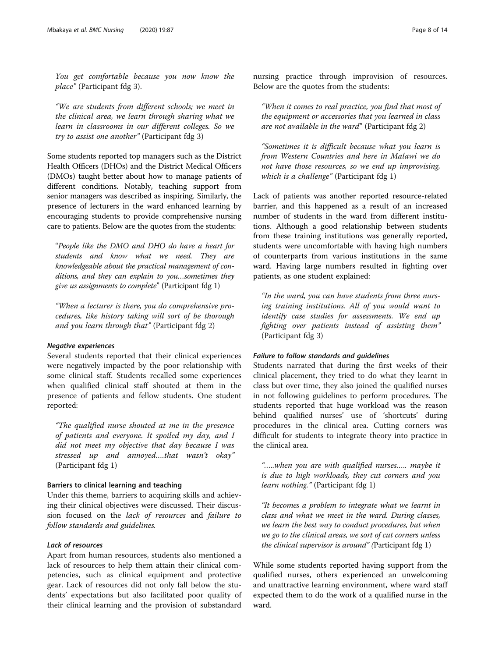You get comfortable because you now know the place" (Participant fdg 3).

"We are students from different schools; we meet in the clinical area, we learn through sharing what we learn in classrooms in our different colleges. So we try to assist one another" (Participant fdg 3)

Some students reported top managers such as the District Health Officers (DHOs) and the District Medical Officers (DMOs) taught better about how to manage patients of different conditions. Notably, teaching support from senior managers was described as inspiring. Similarly, the presence of lecturers in the ward enhanced learning by encouraging students to provide comprehensive nursing care to patients. Below are the quotes from the students:

"People like the DMO and DHO do have a heart for students and know what we need. They are knowledgeable about the practical management of conditions, and they can explain to you…sometimes they give us assignments to complete" (Participant fdg 1)

"When a lecturer is there, you do comprehensive procedures, like history taking will sort of be thorough and you learn through that" (Participant fdg 2)

## Negative experiences

Several students reported that their clinical experiences were negatively impacted by the poor relationship with some clinical staff. Students recalled some experiences when qualified clinical staff shouted at them in the presence of patients and fellow students. One student reported:

"The qualified nurse shouted at me in the presence of patients and everyone. It spoiled my day, and I did not meet my objective that day because I was stressed up and annoyed….that wasn't okay" (Participant fdg 1)

# Barriers to clinical learning and teaching

Under this theme, barriers to acquiring skills and achieving their clinical objectives were discussed. Their discussion focused on the lack of resources and failure to follow standards and guidelines.

# Lack of resources

Apart from human resources, students also mentioned a lack of resources to help them attain their clinical competencies, such as clinical equipment and protective gear. Lack of resources did not only fall below the students' expectations but also facilitated poor quality of their clinical learning and the provision of substandard nursing practice through improvision of resources. Below are the quotes from the students:

"When it comes to real practice, you find that most of the equipment or accessories that you learned in class are not available in the ward" (Participant fdg 2)

"Sometimes it is difficult because what you learn is from Western Countries and here in Malawi we do not have those resources, so we end up improvising, which is a challenge" (Participant fdg 1)

Lack of patients was another reported resource-related barrier, and this happened as a result of an increased number of students in the ward from different institutions. Although a good relationship between students from these training institutions was generally reported, students were uncomfortable with having high numbers of counterparts from various institutions in the same ward. Having large numbers resulted in fighting over patients, as one student explained:

"In the ward, you can have students from three nursing training institutions. All of you would want to identify case studies for assessments. We end up fighting over patients instead of assisting them" (Participant fdg 3)

# Failure to follow standards and guidelines

Students narrated that during the first weeks of their clinical placement, they tried to do what they learnt in class but over time, they also joined the qualified nurses in not following guidelines to perform procedures. The students reported that huge workload was the reason behind qualified nurses' use of 'shortcuts' during procedures in the clinical area. Cutting corners was difficult for students to integrate theory into practice in the clinical area.

"…..when you are with qualified nurses….. maybe it is due to high workloads, they cut corners and you learn nothing." (Participant fdg 1)

"It becomes a problem to integrate what we learnt in class and what we meet in the ward. During classes, we learn the best way to conduct procedures, but when we go to the clinical areas, we sort of cut corners unless the clinical supervisor is around" (Participant fdg 1)

While some students reported having support from the qualified nurses, others experienced an unwelcoming and unattractive learning environment, where ward staff expected them to do the work of a qualified nurse in the ward.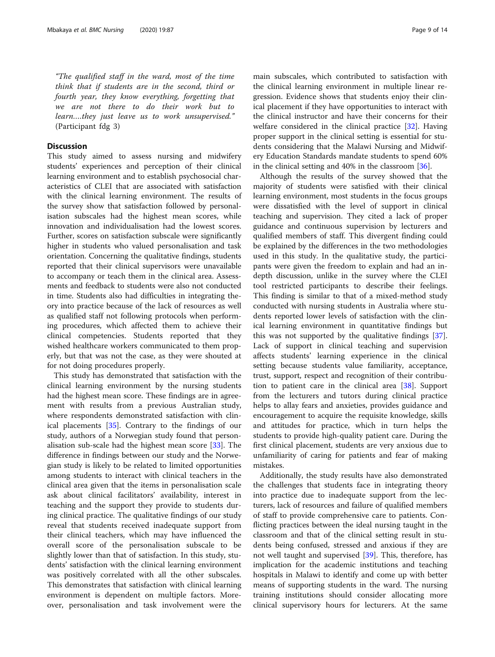"The qualified staff in the ward, most of the time think that if students are in the second, third or fourth year, they know everything, forgetting that we are not there to do their work but to learn….they just leave us to work unsupervised." (Participant fdg 3)

# **Discussion**

This study aimed to assess nursing and midwifery students' experiences and perception of their clinical learning environment and to establish psychosocial characteristics of CLEI that are associated with satisfaction with the clinical learning environment. The results of the survey show that satisfaction followed by personalisation subscales had the highest mean scores, while innovation and individualisation had the lowest scores. Further, scores on satisfaction subscale were significantly higher in students who valued personalisation and task orientation. Concerning the qualitative findings, students reported that their clinical supervisors were unavailable to accompany or teach them in the clinical area. Assessments and feedback to students were also not conducted in time. Students also had difficulties in integrating theory into practice because of the lack of resources as well as qualified staff not following protocols when performing procedures, which affected them to achieve their clinical competencies. Students reported that they wished healthcare workers communicated to them properly, but that was not the case, as they were shouted at for not doing procedures properly.

This study has demonstrated that satisfaction with the clinical learning environment by the nursing students had the highest mean score. These findings are in agreement with results from a previous Australian study, where respondents demonstrated satisfaction with clinical placements [[35](#page-15-0)]. Contrary to the findings of our study, authors of a Norwegian study found that personalisation sub-scale had the highest mean score [[33\]](#page-15-0). The difference in findings between our study and the Norwegian study is likely to be related to limited opportunities among students to interact with clinical teachers in the clinical area given that the items in personalisation scale ask about clinical facilitators' availability, interest in teaching and the support they provide to students during clinical practice. The qualitative findings of our study reveal that students received inadequate support from their clinical teachers, which may have influenced the overall score of the personalisation subscale to be slightly lower than that of satisfaction. In this study, students' satisfaction with the clinical learning environment was positively correlated with all the other subscales. This demonstrates that satisfaction with clinical learning environment is dependent on multiple factors. Moreover, personalisation and task involvement were the

main subscales, which contributed to satisfaction with the clinical learning environment in multiple linear regression. Evidence shows that students enjoy their clinical placement if they have opportunities to interact with the clinical instructor and have their concerns for their welfare considered in the clinical practice [[32\]](#page-15-0). Having proper support in the clinical setting is essential for students considering that the Malawi Nursing and Midwifery Education Standards mandate students to spend 60% in the clinical setting and 40% in the classroom [[36\]](#page-15-0).

Although the results of the survey showed that the majority of students were satisfied with their clinical learning environment, most students in the focus groups were dissatisfied with the level of support in clinical teaching and supervision. They cited a lack of proper guidance and continuous supervision by lecturers and qualified members of staff. This divergent finding could be explained by the differences in the two methodologies used in this study. In the qualitative study, the participants were given the freedom to explain and had an indepth discussion, unlike in the survey where the CLEI tool restricted participants to describe their feelings. This finding is similar to that of a mixed-method study conducted with nursing students in Australia where students reported lower levels of satisfaction with the clinical learning environment in quantitative findings but this was not supported by the qualitative findings [\[37](#page-15-0)]. Lack of support in clinical teaching and supervision affects students' learning experience in the clinical setting because students value familiarity, acceptance, trust, support, respect and recognition of their contribution to patient care in the clinical area [[38](#page-15-0)]. Support from the lecturers and tutors during clinical practice helps to allay fears and anxieties, provides guidance and encouragement to acquire the requisite knowledge, skills and attitudes for practice, which in turn helps the students to provide high-quality patient care. During the first clinical placement, students are very anxious due to unfamiliarity of caring for patients and fear of making mistakes.

Additionally, the study results have also demonstrated the challenges that students face in integrating theory into practice due to inadequate support from the lecturers, lack of resources and failure of qualified members of staff to provide comprehensive care to patients. Conflicting practices between the ideal nursing taught in the classroom and that of the clinical setting result in students being confused, stressed and anxious if they are not well taught and supervised [[39\]](#page-15-0). This, therefore, has implication for the academic institutions and teaching hospitals in Malawi to identify and come up with better means of supporting students in the ward. The nursing training institutions should consider allocating more clinical supervisory hours for lecturers. At the same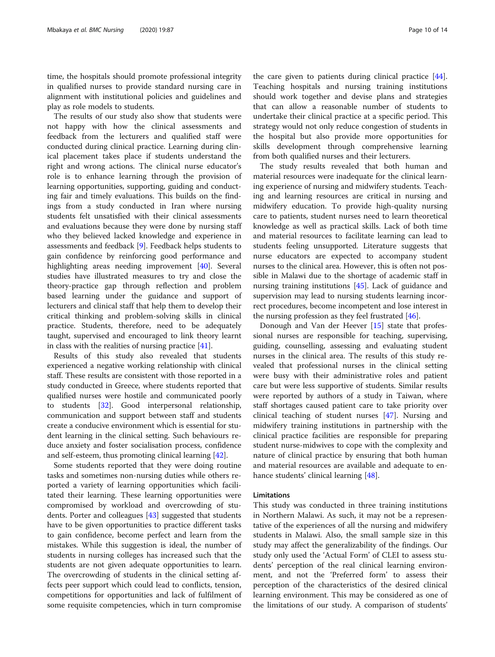time, the hospitals should promote professional integrity in qualified nurses to provide standard nursing care in alignment with institutional policies and guidelines and play as role models to students.

The results of our study also show that students were not happy with how the clinical assessments and feedback from the lecturers and qualified staff were conducted during clinical practice. Learning during clinical placement takes place if students understand the right and wrong actions. The clinical nurse educator's role is to enhance learning through the provision of learning opportunities, supporting, guiding and conducting fair and timely evaluations. This builds on the findings from a study conducted in Iran where nursing students felt unsatisfied with their clinical assessments and evaluations because they were done by nursing staff who they believed lacked knowledge and experience in assessments and feedback [[9\]](#page-14-0). Feedback helps students to gain confidence by reinforcing good performance and highlighting areas needing improvement [\[40](#page-15-0)]. Several studies have illustrated measures to try and close the theory-practice gap through reflection and problem based learning under the guidance and support of lecturers and clinical staff that help them to develop their critical thinking and problem-solving skills in clinical practice. Students, therefore, need to be adequately taught, supervised and encouraged to link theory learnt in class with the realities of nursing practice [[41\]](#page-15-0).

Results of this study also revealed that students experienced a negative working relationship with clinical staff. These results are consistent with those reported in a study conducted in Greece, where students reported that qualified nurses were hostile and communicated poorly to students [\[32\]](#page-15-0). Good interpersonal relationship, communication and support between staff and students create a conducive environment which is essential for student learning in the clinical setting. Such behaviours reduce anxiety and foster socialisation process, confidence and self-esteem, thus promoting clinical learning [\[42](#page-15-0)].

Some students reported that they were doing routine tasks and sometimes non-nursing duties while others reported a variety of learning opportunities which facilitated their learning. These learning opportunities were compromised by workload and overcrowding of students. Porter and colleagues [[43](#page-15-0)] suggested that students have to be given opportunities to practice different tasks to gain confidence, become perfect and learn from the mistakes. While this suggestion is ideal, the number of students in nursing colleges has increased such that the students are not given adequate opportunities to learn. The overcrowding of students in the clinical setting affects peer support which could lead to conflicts, tension, competitions for opportunities and lack of fulfilment of some requisite competencies, which in turn compromise

the care given to patients during clinical practice [\[44](#page-15-0)]. Teaching hospitals and nursing training institutions should work together and devise plans and strategies that can allow a reasonable number of students to undertake their clinical practice at a specific period. This strategy would not only reduce congestion of students in the hospital but also provide more opportunities for skills development through comprehensive learning from both qualified nurses and their lecturers.

The study results revealed that both human and material resources were inadequate for the clinical learning experience of nursing and midwifery students. Teaching and learning resources are critical in nursing and midwifery education. To provide high-quality nursing care to patients, student nurses need to learn theoretical knowledge as well as practical skills. Lack of both time and material resources to facilitate learning can lead to students feeling unsupported. Literature suggests that nurse educators are expected to accompany student nurses to the clinical area. However, this is often not possible in Malawi due to the shortage of academic staff in nursing training institutions [[45](#page-15-0)]. Lack of guidance and supervision may lead to nursing students learning incorrect procedures, become incompetent and lose interest in the nursing profession as they feel frustrated [\[46\]](#page-15-0).

Donough and Van der Heever [\[15\]](#page-14-0) state that professional nurses are responsible for teaching, supervising, guiding, counselling, assessing and evaluating student nurses in the clinical area. The results of this study revealed that professional nurses in the clinical setting were busy with their administrative roles and patient care but were less supportive of students. Similar results were reported by authors of a study in Taiwan, where staff shortages caused patient care to take priority over clinical teaching of student nurses [\[47](#page-15-0)]. Nursing and midwifery training institutions in partnership with the clinical practice facilities are responsible for preparing student nurse-midwives to cope with the complexity and nature of clinical practice by ensuring that both human and material resources are available and adequate to enhance students' clinical learning [[48\]](#page-15-0).

# Limitations

This study was conducted in three training institutions in Northern Malawi. As such, it may not be a representative of the experiences of all the nursing and midwifery students in Malawi. Also, the small sample size in this study may affect the generalizability of the findings. Our study only used the 'Actual Form' of CLEI to assess students' perception of the real clinical learning environment, and not the 'Preferred form' to assess their perception of the characteristics of the desired clinical learning environment. This may be considered as one of the limitations of our study. A comparison of students'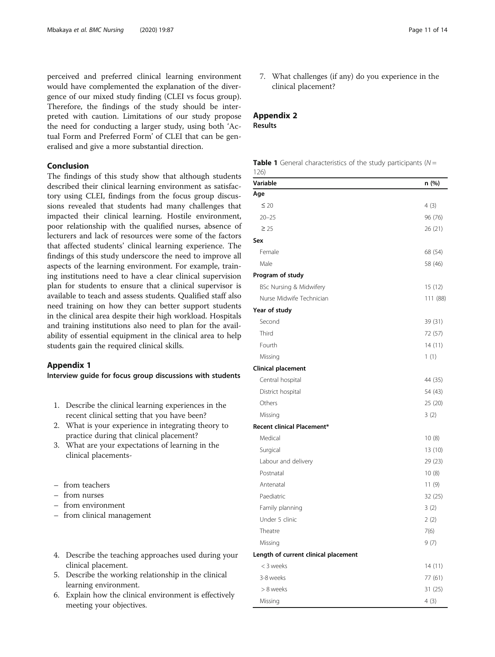<span id="page-12-0"></span>perceived and preferred clinical learning environment would have complemented the explanation of the divergence of our mixed study finding (CLEI vs focus group). Therefore, the findings of the study should be interpreted with caution. Limitations of our study propose the need for conducting a larger study, using both 'Actual Form and Preferred Form' of CLEI that can be generalised and give a more substantial direction.

# Conclusion

The findings of this study show that although students described their clinical learning environment as satisfactory using CLEI, findings from the focus group discussions revealed that students had many challenges that impacted their clinical learning. Hostile environment, poor relationship with the qualified nurses, absence of lecturers and lack of resources were some of the factors that affected students' clinical learning experience. The findings of this study underscore the need to improve all aspects of the learning environment. For example, training institutions need to have a clear clinical supervision plan for students to ensure that a clinical supervisor is available to teach and assess students. Qualified staff also need training on how they can better support students in the clinical area despite their high workload. Hospitals and training institutions also need to plan for the availability of essential equipment in the clinical area to help students gain the required clinical skills.

# Appendix 1

Interview guide for focus group discussions with students

- 1. Describe the clinical learning experiences in the recent clinical setting that you have been?
- 2. What is your experience in integrating theory to practice during that clinical placement?
- 3. What are your expectations of learning in the clinical placements-
- from teachers
- from nurses
- from environment
- from clinical management
- 4. Describe the teaching approaches used during your clinical placement.
- 5. Describe the working relationship in the clinical learning environment.
- 6. Explain how the clinical environment is effectively meeting your objectives.

7. What challenges (if any) do you experience in the clinical placement?

# Appendix 2

# Results

|      |  | <b>Table 1</b> General characteristics of the study participants ( $N =$ |  |  |  |
|------|--|--------------------------------------------------------------------------|--|--|--|
| 126) |  |                                                                          |  |  |  |

| Variable                             | n (%)    |
|--------------------------------------|----------|
| Age                                  |          |
| $\leq 20$                            | 4(3)     |
| $20 - 25$                            | 96 (76)  |
| $\geq 25$                            | 26 (21)  |
| Sex                                  |          |
| Female                               | 68 (54)  |
| Male                                 | 58 (46)  |
| Program of study                     |          |
| BSc Nursing & Midwifery              | 15 (12)  |
| Nurse Midwife Technician             | 111 (88) |
| Year of study                        |          |
| Second                               | 39 (31)  |
| Third                                | 72 (57)  |
| Fourth                               | 14(11)   |
| Missing                              | 1(1)     |
| Clinical placement                   |          |
| Central hospital                     | 44 (35)  |
| District hospital                    | 54 (43)  |
| Others                               | 25 (20)  |
| Missing                              | 3(2)     |
| Recent clinical Placement*           |          |
| Medical                              | 10(8)    |
| Surgical                             | 13 (10)  |
| Labour and delivery                  | 29 (23)  |
| Postnatal                            | 10(8)    |
| Antenatal                            | 11(9)    |
| Paediatric                           | 32 (25)  |
| Family planning                      | 3(2)     |
| Under 5 clinic                       | 2(2)     |
| Theatre                              | 7(6)     |
| Missing                              | 9(7)     |
| Length of current clinical placement |          |
| < 3 weeks                            | 14(11)   |
| 3-8 weeks                            | 77 (61)  |
| > 8 weeks                            | 31(25)   |
| Missing                              | 4(3)     |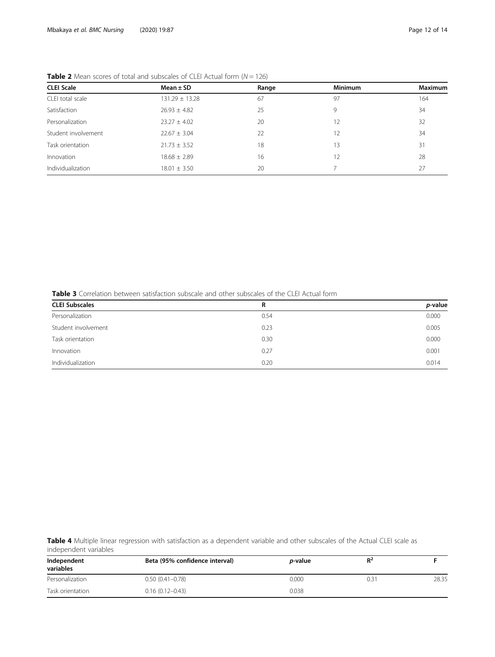| <b>CLEI Scale</b>   | Mean $\pm$ SD      | Range | <b>Minimum</b> | Maximum |
|---------------------|--------------------|-------|----------------|---------|
| CLEI total scale    | $131.29 \pm 13.28$ | 67    | 97             | 164     |
| Satisfaction        | $26.93 \pm 4.82$   | 25    | 9              | 34      |
| Personalization     | $23.27 + 4.02$     | 20    | 12             | 32      |
| Student involvement | $22.67 + 3.04$     | 22    | 12             | 34      |
| Task orientation    | $21.73 \pm 3.52$   | 18    | 13             | 31      |
| Innovation          | $18.68 \pm 2.89$   | 16    | 12             | 28      |
| Individualization   | $18.01 \pm 3.50$   | 20    |                | 27      |

**Table 2** Mean scores of total and subscales of CLEI Actual form  $(N = 126)$ 

Table 3 Correlation between satisfaction subscale and other subscales of the CLEI Actual form

| <b>CLEI Subscales</b> | R    | p-value |
|-----------------------|------|---------|
| Personalization       | 0.54 | 0.000   |
| Student involvement   | 0.23 | 0.005   |
| Task orientation      | 0.30 | 0.000   |
| Innovation            | 0.27 | 0.001   |
| Individualization     | 0.20 | 0.014   |

Table 4 Multiple linear regression with satisfaction as a dependent variable and other subscales of the Actual CLEI scale as independent variables

| Independent<br>variables | Beta (95% confidence interval) | <i>p</i> -value | $R^2$ |       |
|--------------------------|--------------------------------|-----------------|-------|-------|
| Personalization          | $0.50(0.41 - 0.78)$            | 0.000           | 0.31  | 28.35 |
| Task orientation         | $0.16(0.12 - 0.43)$            | 0.038           |       |       |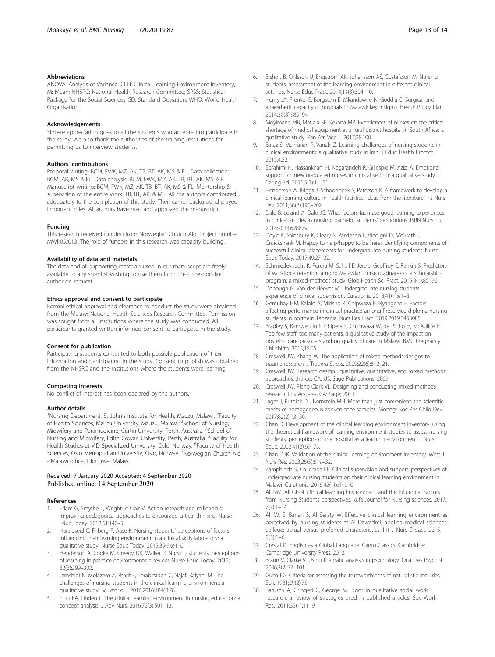#### <span id="page-14-0"></span>Abbreviations

ANOVA: Analysis of Variance; CLEI: Clinical Learning Environment Inventory; M: Mean; NHSRC: National Health Research Committee; SPSS: Statistical Package for the Social Sciences; SD: Standard Deviation; WHO: World Health **Organisation** 

#### Acknowledgements

Sincere appreciation goes to all the students who accepted to participate in the study. We also thank the authorities of the training institutions for permitting us to interview students.

#### Authors' contributions

Proposal writing: BCM, FWK, MZ, AK, TB, BT, AK, MS & FL. Data collection: BCM, AK, MS & FL. Data analysis: BCM, FWK, MZ, AK, TB, BT, AK, MS & FL. Manuscript writing: BCM, FWK, MZ, AK, TB, BT, AK, MS & FL. Mentorship & supervision of the entire work: TB, BT, AK, & MS. All the authors contributed adequately to the completion of this study. Their carrier background played important roles. All authors have read and approved the manuscript.

#### Funding

This research received funding from Norwegian Church Aid. Project number MWl-05/013. The role of funders in this research was capacity building.

#### Availability of data and materials

The data and all supporting materials used in our manuscript are freely available to any scientist wishing to use them from the corresponding author on request.

#### Ethics approval and consent to participate

Formal ethical approval and clearance to conduct the study were obtained from the Malawi National Health Sciences Research Committee. Permission was sought from all institutions where the study was conducted. All participants granted written informed consent to participate in the study.

#### Consent for publication

Participating students consented to both possible publication of their information and participating in the study. Consent to publish was obtained from the NHSRC and the institutions where the students were learning.

### Competing interests

No conflict of interest has been declared by the authors.

#### Author details

<sup>1</sup>Nursing Department, St John's Institute for Health, Mzuzu, Malawi. <sup>2</sup>Faculty of Health Sciences, Mzuzu University, Mzuzu, Malawi. <sup>3</sup>School of Nursing, Midwifery and Paramedicine, Curtin University, Perth, Australia. <sup>4</sup>School of Nursing and Midwifery, Edith Cowan University, Perth, Australia. <sup>5</sup>Faculty for Health Studies at VID Specialized University, Oslo, Norway. <sup>6</sup>Faculty of Health Sciences, Oslo Metropolitan University, Oslo, Norway. <sup>7</sup>Norwegian Church Aid - Malawi office, Lilongwe, Malawi.

## Received: 7 January 2020 Accepted: 4 September 2020 Published online: 14 September 2020

#### References

- 1. Erlam G, Smythe L, Wright-St Clair V. Action research and millennials: improving pedagogical approaches to encourage critical thinking. Nurse Educ Today. 2018;61:140–5.
- Haraldseid C, Friberg F, Aase K. Nursing students' perceptions of factors influencing their learning environment in a clinical skills laboratory: a qualitative study. Nurse Educ Today. 2015;35(9):e1–6.
- 3. Henderson A, Cooke M, Creedy DK, Walker R. Nursing students' perceptions of learning in practice environments: a review. Nurse Educ Today. 2012; 32(3):299–302.
- 4. Jamshidi N, Molazem Z, Sharif F, Torabizadeh C, Najafi Kalyani M. The challenges of nursing students in the clinical learning environment: a qualitative study. Sci World J. 2016;2016:1846178.
- Flott EA, Linden L. The clinical learning environment in nursing education: a concept analysis. J Adv Nurs. 2016;72(3):501–13.
- 6. Bisholt B, Ohlsson U, Engström AK, Johansson AS, Gustafsson M. Nursing students' assessment of the learning environment in different clinical settings. Nurse Educ Pract. 2014;14(3):304–10.
- 7. Henry JA, Frenkel E, Borgstein E, Mkandawire N, Goddia C. Surgical and anaesthetic capacity of hospitals in Malawi: key insights. Health Policy Plan. 2014;30(8):985–94.
- 8. Moyimane MB, Matlala SF, Kekana MP. Experiences of nurses on the critical shortage of medical equipment at a rural district hospital in South Africa: a qualitative study. Pan Afr Med J. 2017;28:100.
- Baraz S, Memarian R, Vanaki Z. Learning challenges of nursing students in clinical environments: a qualitative study in Iran. J Educ Health Promot. 2015;4:52.
- 10. Ebrahimi H, Hassankhani H, Negarandeh R, Gillespie M, Azizi A. Emotional support for new graduated nurses in clinical setting: a qualitative study. J Caring Sci. 2016;5(1):11–21.
- 11. Henderson A, Briggs J, Schoonbeek S, Paterson K. A framework to develop a clinical learning culture in health facilities: ideas from the literature. Int Nurs Rev. 2011;58(2):196–202.
- 12. Dale B, Leland A, Dale JG. What factors facilitate good learning experiences in clinical studies in nursing: bachelor students' perceptions. ISRN Nursing. 2013;2013:628679.
- 13. Doyle K, Sainsbury K, Cleary S, Parkinson L, Vindigni D, McGrath I, Cruickshank M. Happy to help/happy to be here: identifying components of successful clinical placements for undergraduate nursing students. Nurse Educ Today. 2017;49:27–32.
- 14. Schmiedeknecht K, Perera M, Schell E, Jere J, Geoffroy E, Rankin S. Predictors of workforce retention among Malawian nurse graduates of a scholarship program: a mixed-methods study. Glob Health Sci Pract. 2015;3(1):85–96.
- 15. Donough G, Van der Heever M. Undergraduate nursing students' experience of clinical supervision. Curationis. 2018;41(1):e1–8.
- 16. Gemuhay HM, Kalolo A, Mirisho R, Chipwaza B, Nyangena E. Factors affecting performance in clinical practice among Preservice diploma nursing students in northern Tanzania. Nurs Res Pract. 2019;2019:3453085.
- 17. Bradley S, Kamwendo F, Chipeta E, Chimwaza W, de Pinho H, McAuliffe E. Too few staff, too many patients: a qualitative study of the impact on obstetric care providers and on quality of care in Malawi. BMC Pregnancy Childbirth. 2015;15:65.
- 18. Creswell JW, Zhang W. The application of mixed methods designs to trauma research. J Trauma Stress. 2009;22(6):612–21.
- 19. Creswell JW. Research design : qualitative, quantitative, and mixed methods approaches. 3rd ed. CA, US: Sage Publications; 2009.
- 20. Creswell JW, Plano Clark VL. Designing and conducting mixed methods research. Los Angeles, CA: Sage; 2011.
- 21. Jager J, Putnick DL, Bornstein MH. More than just convenient: the scientific merits of homogeneous convenience samples. Monogr Soc Res Child Dev. 2017;82(2):13–30.
- 22. Chan D. Development of the clinical learning environment inventory: using the theoretical framework of learning environment studies to assess nursing students' perceptions of the hospital as a learning environment. J Nurs Educ. 2002;41(2):69–75.
- 23. Chan DSK. Validation of the clinical learning environment inventory. West J Nurs Res. 2003;25(5):519–32.
- 24. Kamphinda S, Chilemba EB. Clinical supervision and support: perspectives of undergraduate nursing students on their clinical learning environment in Malawi. Curationis. 2019;42(1):e1–e10.
- 25. Ali NM, Ali GE-N. Clinical learning Environment and the Influential Factors from Nursing Students perspectives. kufa Journal for Nursing sciences. 2017; 7(2):1–14.
- 26. Ali W, El Banan S, Al Seraty W. Effective clinical learning environment as perceived by nursing students at Al Dawadmi, applied medical sciences college: actual versus preferred characteristics. Int J Nurs Didact. 2015;  $5(5) \cdot 1 - 6$
- 27. Crystal D. English as a Global Language. Canto Classics. Cambridge: Cambridge University Press; 2012.
- 28. Braun V, Clarke V. Using thematic analysis in psychology. Qual Res Psychol. 2006;3(2):77–101.
- 29. Guba EG. Criteria for assessing the trustworthiness of naturalistic inquiries. Ectj. 1981;29(2):75.
- 30. Barusch A, Gringeri C, George M. Rigor in qualitative social work research: a review of strategies used in published articles. Soc Work Res. 2011;35(1):11–9.